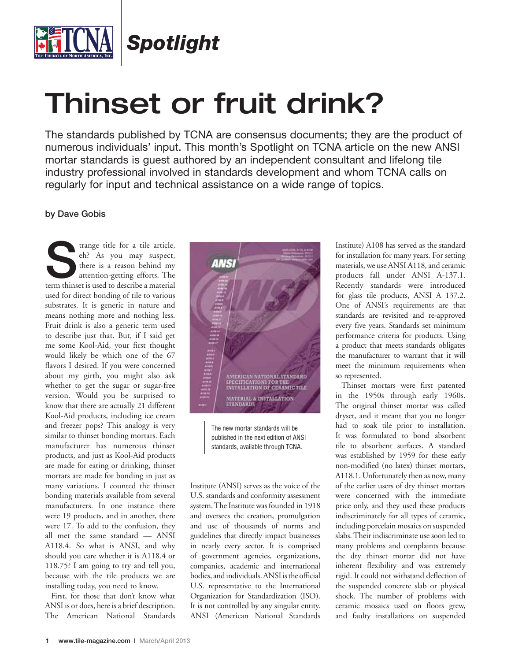

*Spotlight*

## Thinset or fruit drink?

The standards published by TCNA are consensus documents; they are the product of numerous individuals' input. This month's Spotlight on TCNA article on the new ANSI mortar standards is guest authored by an independent consultant and lifelong tile industry professional involved in standards development and whom TCNA calls on regularly for input and technical assistance on a wide range of topics.

## **by Dave Gobis**

Trange title for a tile article, eh? As you may suspect, there is a reason behind my attention-getting efforts. The term thinset is used to describe a material eh? As you may suspect, there is a reason behind my attention-getting efforts. The used for direct bonding of tile to various substrates. It is generic in nature and means nothing more and nothing less. Fruit drink is also a generic term used to describe just that. But, if I said get me some Kool-Aid, your first thought would likely be which one of the 67 flavors I desired. If you were concerned about my girth, you might also ask whether to get the sugar or sugar-free version. Would you be surprised to know that there are actually 21 different Kool-Aid products, including ice cream and freezer pops? This analogy is very similar to thinset bonding mortars. Each manufacturer has numerous thinset products, and just as Kool-Aid products are made for eating or drinking, thinset mortars are made for bonding in just as many variations. I counted the thinset bonding materials available from several manufacturers. In one instance there were 19 products, and in another, there were 17. To add to the confusion, they all met the same standard — ANSI A118.4. So what is ANSI, and why should you care whether it is A118.4 or 118.75? I am going to try and tell you, because with the tile products we are installing today, you need to know.

First, for those that don't know what ANSI is or does, here is a brief description. The American National Standards



The new mortar standards will be published in the next edition of ANSI standards, available through TCNA.

Institute (ANSI) serves as the voice of the U.S. standards and conformity assessment system. The Institute was founded in 1918 and oversees the creation, promulgation and use of thousands of norms and guidelines that directly impact businesses in nearly every sector. It is comprised of government agencies, organizations, companies, academic and international bodies, and individuals. ANSI is the official U.S. representative to the International Organization for Standardization (ISO). It is not controlled by any singular entity. ANSI (American National Standards Institute) A108 has served as the standard for installation for many years. For setting materials, we use ANSI A118, and ceramic products fall under ANSI A-137.1. Recently standards were introduced for glass tile products, ANSI A 137.2. One of ANSI's requirements are that standards are revisited and re-approved every five years. Standards set minimum performance criteria for products. Using a product that meets standards obligates the manufacturer to warrant that it will meet the minimum requirements when so represented.

Thinset mortars were first patented in the 1950s through early 1960s. The original thinset mortar was called dryset, and it meant that you no longer had to soak tile prior to installation. It was formulated to bond absorbent tile to absorbent surfaces. A standard was established by 1959 for these early non-modified (no latex) thinset mortars, A118.1. Unfortunately then as now, many of the earlier users of dry thinset mortars were concerned with the immediate price only, and they used these products indiscriminately for all types of ceramic, including porcelain mosaics on suspended slabs. Their indiscriminate use soon led to many problems and complaints because the dry thinset mortar did not have inherent flexibility and was extremely rigid. It could not withstand deflection of the suspended concrete slab or physical shock. The number of problems with ceramic mosaics used on floors grew, and faulty installations on suspended